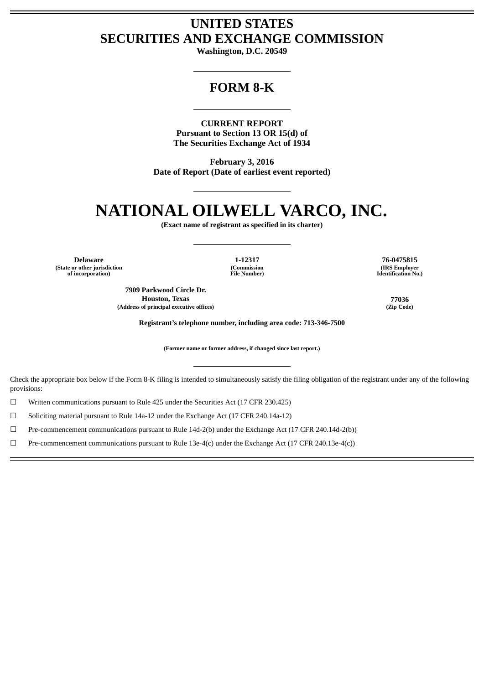# **UNITED STATES SECURITIES AND EXCHANGE COMMISSION**

**Washington, D.C. 20549**

# **FORM 8-K**

**CURRENT REPORT Pursuant to Section 13 OR 15(d) of The Securities Exchange Act of 1934**

**February 3, 2016 Date of Report (Date of earliest event reported)**

# **NATIONAL OILWELL VARCO, INC.**

**(Exact name of registrant as specified in its charter)**

**Delaware 1-12317 76-0475815 (State or other jurisdiction of incorporation)**

**(Commission File Number)**

**7909 Parkwood Circle Dr. Houston, Texas 77036 (Address of principal executive offices) (Zip Code)**

**(IRS Employer Identification No.)**

**Registrant's telephone number, including area code: 713-346-7500**

**(Former name or former address, if changed since last report.)**

Check the appropriate box below if the Form 8-K filing is intended to simultaneously satisfy the filing obligation of the registrant under any of the following provisions:

☐ Written communications pursuant to Rule 425 under the Securities Act (17 CFR 230.425)

☐ Soliciting material pursuant to Rule 14a-12 under the Exchange Act (17 CFR 240.14a-12)

☐ Pre-commencement communications pursuant to Rule 14d-2(b) under the Exchange Act (17 CFR 240.14d-2(b))

☐ Pre-commencement communications pursuant to Rule 13e-4(c) under the Exchange Act (17 CFR 240.13e-4(c))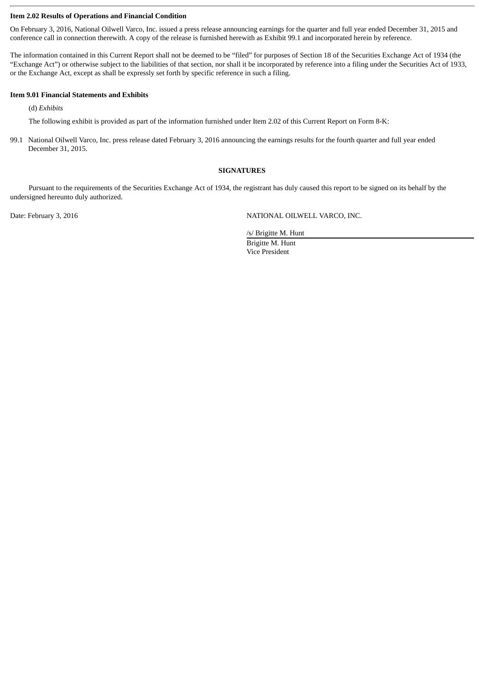# **Item 2.02 Results of Operations and Financial Condition**

On February 3, 2016, National Oilwell Varco, Inc. issued a press release announcing earnings for the quarter and full year ended December 31, 2015 and conference call in connection therewith. A copy of the release is furnished herewith as Exhibit 99.1 and incorporated herein by reference.

The information contained in this Current Report shall not be deemed to be "filed" for purposes of Section 18 of the Securities Exchange Act of 1934 (the "Exchange Act") or otherwise subject to the liabilities of that section, nor shall it be incorporated by reference into a filing under the Securities Act of 1933, or the Exchange Act, except as shall be expressly set forth by specific reference in such a filing.

#### **Item 9.01 Financial Statements and Exhibits**

(d) *Exhibits*

The following exhibit is provided as part of the information furnished under Item 2.02 of this Current Report on Form 8-K:

99.1 National Oilwell Varco, Inc. press release dated February 3, 2016 announcing the earnings results for the fourth quarter and full year ended December 31, 2015.

#### **SIGNATURES**

Pursuant to the requirements of the Securities Exchange Act of 1934, the registrant has duly caused this report to be signed on its behalf by the undersigned hereunto duly authorized.

Date: February 3, 2016 **NATIONAL OILWELL VARCO, INC.** 

/s/ Brigitte M. Hunt

Brigitte M. Hunt Vice President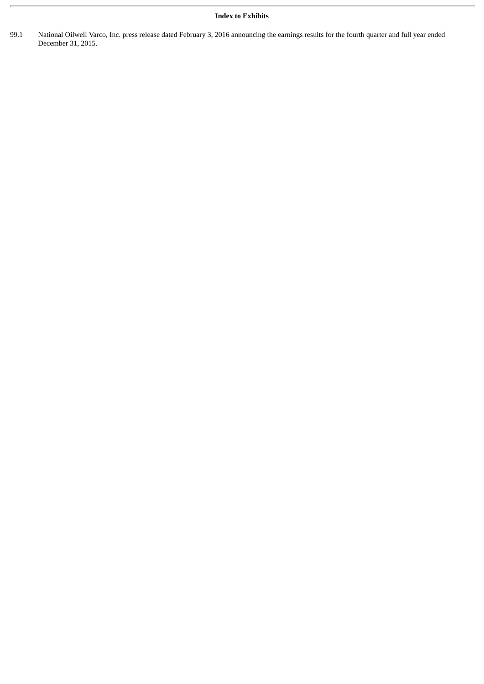# **Index to Exhibits**

99.1 National Oilwell Varco, Inc. press release dated February 3, 2016 announcing the earnings results for the fourth quarter and full year ended December 31, 2015.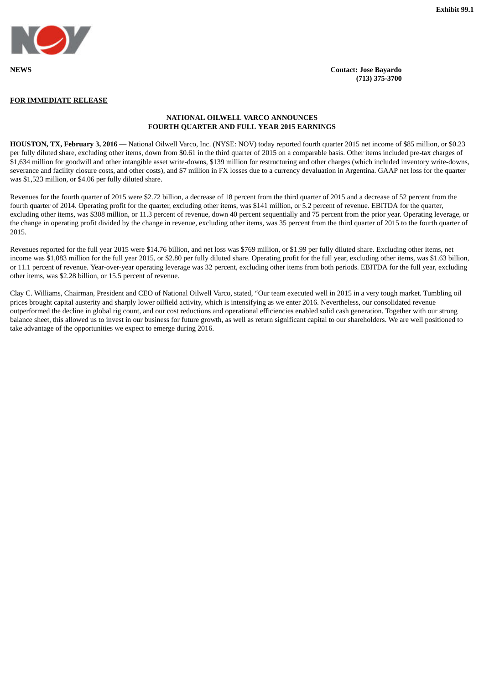

**(713) 375-3700**

#### **FOR IMMEDIATE RELEASE**

# **NATIONAL OILWELL VARCO ANNOUNCES FOURTH QUARTER AND FULL YEAR 2015 EARNINGS**

**HOUSTON, TX, February 3, 2016 —** National Oilwell Varco, Inc. (NYSE: NOV) today reported fourth quarter 2015 net income of \$85 million, or \$0.23 per fully diluted share, excluding other items, down from \$0.61 in the third quarter of 2015 on a comparable basis. Other items included pre-tax charges of \$1,634 million for goodwill and other intangible asset write-downs, \$139 million for restructuring and other charges (which included inventory write-downs, severance and facility closure costs, and other costs), and \$7 million in FX losses due to a currency devaluation in Argentina. GAAP net loss for the quarter was \$1,523 million, or \$4.06 per fully diluted share.

Revenues for the fourth quarter of 2015 were \$2.72 billion, a decrease of 18 percent from the third quarter of 2015 and a decrease of 52 percent from the fourth quarter of 2014. Operating profit for the quarter, excluding other items, was \$141 million, or 5.2 percent of revenue. EBITDA for the quarter, excluding other items, was \$308 million, or 11.3 percent of revenue, down 40 percent sequentially and 75 percent from the prior year. Operating leverage, or the change in operating profit divided by the change in revenue, excluding other items, was 35 percent from the third quarter of 2015 to the fourth quarter of 2015.

Revenues reported for the full year 2015 were \$14.76 billion, and net loss was \$769 million, or \$1.99 per fully diluted share. Excluding other items, net income was \$1,083 million for the full year 2015, or \$2.80 per fully diluted share. Operating profit for the full year, excluding other items, was \$1.63 billion, or 11.1 percent of revenue. Year-over-year operating leverage was 32 percent, excluding other items from both periods. EBITDA for the full year, excluding other items, was \$2.28 billion, or 15.5 percent of revenue.

Clay C. Williams, Chairman, President and CEO of National Oilwell Varco, stated, "Our team executed well in 2015 in a very tough market. Tumbling oil prices brought capital austerity and sharply lower oilfield activity, which is intensifying as we enter 2016. Nevertheless, our consolidated revenue outperformed the decline in global rig count, and our cost reductions and operational efficiencies enabled solid cash generation. Together with our strong balance sheet, this allowed us to invest in our business for future growth, as well as return significant capital to our shareholders. We are well positioned to take advantage of the opportunities we expect to emerge during 2016.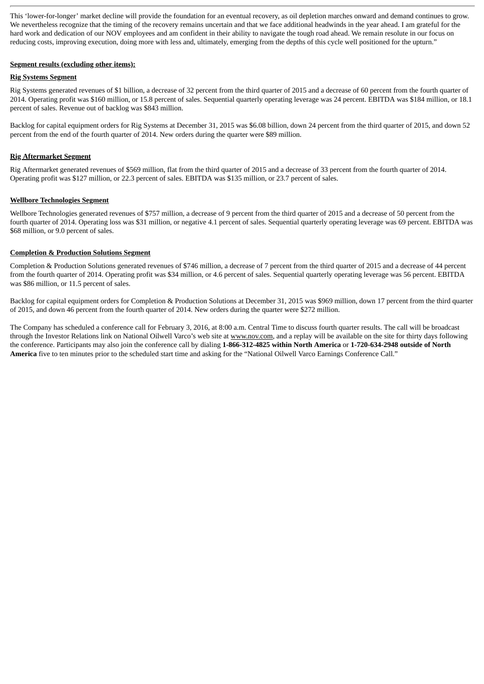This 'lower-for-longer' market decline will provide the foundation for an eventual recovery, as oil depletion marches onward and demand continues to grow. We nevertheless recognize that the timing of the recovery remains uncertain and that we face additional headwinds in the year ahead. I am grateful for the hard work and dedication of our NOV employees and am confident in their ability to navigate the tough road ahead. We remain resolute in our focus on reducing costs, improving execution, doing more with less and, ultimately, emerging from the depths of this cycle well positioned for the upturn."

# **Segment results (excluding other items):**

# **Rig Systems Segment**

Rig Systems generated revenues of \$1 billion, a decrease of 32 percent from the third quarter of 2015 and a decrease of 60 percent from the fourth quarter of 2014. Operating profit was \$160 million, or 15.8 percent of sales. Sequential quarterly operating leverage was 24 percent. EBITDA was \$184 million, or 18.1 percent of sales. Revenue out of backlog was \$843 million.

Backlog for capital equipment orders for Rig Systems at December 31, 2015 was \$6.08 billion, down 24 percent from the third quarter of 2015, and down 52 percent from the end of the fourth quarter of 2014. New orders during the quarter were \$89 million.

# **Rig Aftermarket Segment**

Rig Aftermarket generated revenues of \$569 million, flat from the third quarter of 2015 and a decrease of 33 percent from the fourth quarter of 2014. Operating profit was \$127 million, or 22.3 percent of sales. EBITDA was \$135 million, or 23.7 percent of sales.

# **Wellbore Technologies Segment**

Wellbore Technologies generated revenues of \$757 million, a decrease of 9 percent from the third quarter of 2015 and a decrease of 50 percent from the fourth quarter of 2014. Operating loss was \$31 million, or negative 4.1 percent of sales. Sequential quarterly operating leverage was 69 percent. EBITDA was \$68 million, or 9.0 percent of sales.

# **Completion & Production Solutions Segment**

Completion & Production Solutions generated revenues of \$746 million, a decrease of 7 percent from the third quarter of 2015 and a decrease of 44 percent from the fourth quarter of 2014. Operating profit was \$34 million, or 4.6 percent of sales. Sequential quarterly operating leverage was 56 percent. EBITDA was \$86 million, or 11.5 percent of sales.

Backlog for capital equipment orders for Completion & Production Solutions at December 31, 2015 was \$969 million, down 17 percent from the third quarter of 2015, and down 46 percent from the fourth quarter of 2014. New orders during the quarter were \$272 million.

The Company has scheduled a conference call for February 3, 2016, at 8:00 a.m. Central Time to discuss fourth quarter results. The call will be broadcast through the Investor Relations link on National Oilwell Varco's web site at www.nov.com, and a replay will be available on the site for thirty days following the conference. Participants may also join the conference call by dialing **1-866-312-4825 within North America** or **1-720-634-2948 outside of North America** five to ten minutes prior to the scheduled start time and asking for the "National Oilwell Varco Earnings Conference Call."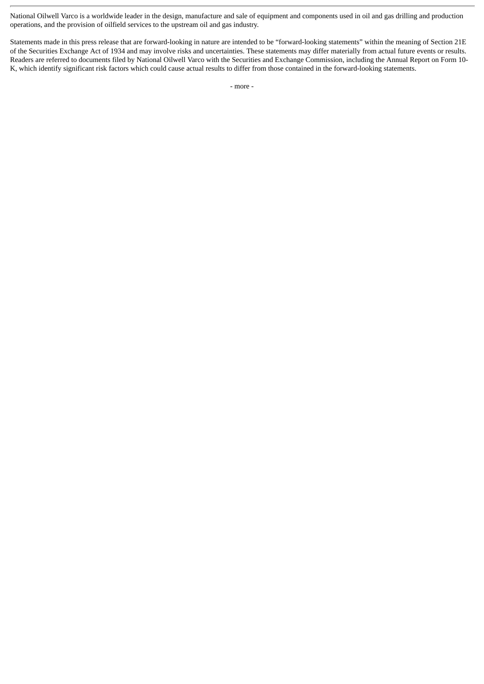National Oilwell Varco is a worldwide leader in the design, manufacture and sale of equipment and components used in oil and gas drilling and production operations, and the provision of oilfield services to the upstream oil and gas industry.

Statements made in this press release that are forward-looking in nature are intended to be "forward-looking statements" within the meaning of Section 21E of the Securities Exchange Act of 1934 and may involve risks and uncertainties. These statements may differ materially from actual future events or results. Readers are referred to documents filed by National Oilwell Varco with the Securities and Exchange Commission, including the Annual Report on Form 10- K, which identify significant risk factors which could cause actual results to differ from those contained in the forward-looking statements.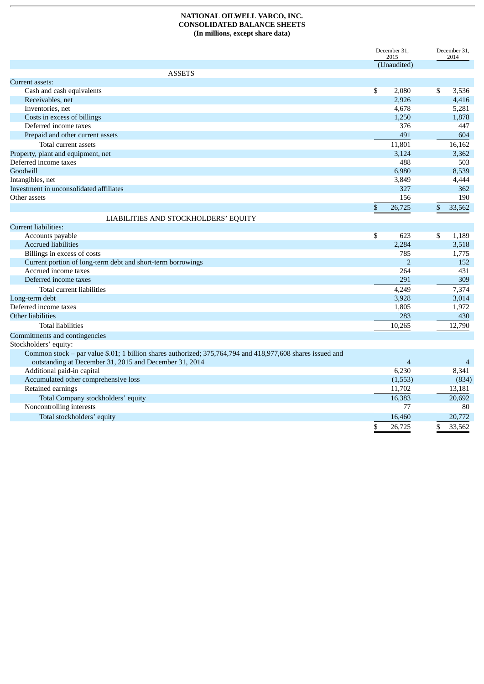# **NATIONAL OILWELL VARCO, INC. CONSOLIDATED BALANCE SHEETS (In millions, except share data)**

|                                                                                                            | December 31.<br>2015 |                | December 31.<br>2014 |  |
|------------------------------------------------------------------------------------------------------------|----------------------|----------------|----------------------|--|
|                                                                                                            |                      | (Unaudited)    |                      |  |
| <b>ASSETS</b>                                                                                              |                      |                |                      |  |
| Current assets:                                                                                            |                      |                |                      |  |
| Cash and cash equivalents                                                                                  | \$                   | 2,080          | \$<br>3,536          |  |
| Receivables, net                                                                                           |                      | 2,926          | 4,416                |  |
| Inventories, net                                                                                           |                      | 4,678          | 5,281                |  |
| Costs in excess of billings                                                                                |                      | 1,250          | 1,878                |  |
| Deferred income taxes                                                                                      |                      | 376            | 447                  |  |
| Prepaid and other current assets                                                                           |                      | 491            | 604                  |  |
| Total current assets                                                                                       |                      | 11,801         | 16,162               |  |
| Property, plant and equipment, net                                                                         |                      | 3,124          | 3,362                |  |
| Deferred income taxes                                                                                      |                      | 488            | 503                  |  |
| Goodwill                                                                                                   |                      | 6,980          | 8,539                |  |
| Intangibles, net                                                                                           |                      | 3,849          | 4,444                |  |
| Investment in unconsolidated affiliates                                                                    |                      | 327            | 362                  |  |
| Other assets                                                                                               |                      | 156            | 190                  |  |
|                                                                                                            | \$                   | 26,725         | \$<br>33,562         |  |
| LIABILITIES AND STOCKHOLDERS' EQUITY                                                                       |                      |                |                      |  |
| <b>Current liabilities:</b>                                                                                |                      |                |                      |  |
| Accounts payable                                                                                           | \$                   | 623            | \$<br>1,189          |  |
| <b>Accrued liabilities</b>                                                                                 |                      | 2,284          | 3,518                |  |
| Billings in excess of costs                                                                                |                      | 785            | 1,775                |  |
| Current portion of long-term debt and short-term borrowings                                                |                      | $\overline{2}$ | 152                  |  |
| Accrued income taxes                                                                                       |                      | 264            | 431                  |  |
| Deferred income taxes                                                                                      |                      | 291            | 309                  |  |
| Total current liabilities                                                                                  |                      | 4,249          | 7,374                |  |
| Long-term debt                                                                                             |                      | 3,928          | 3,014                |  |
| Deferred income taxes                                                                                      |                      | 1,805          | 1,972                |  |
| Other liabilities                                                                                          |                      | 283            | 430                  |  |
| <b>Total liabilities</b>                                                                                   |                      | 10,265         | 12,790               |  |
| Commitments and contingencies                                                                              |                      |                |                      |  |
| Stockholders' equity:                                                                                      |                      |                |                      |  |
| Common stock - par value \$.01; 1 billion shares authorized; 375,764,794 and 418,977,608 shares issued and |                      |                |                      |  |
| outstanding at December 31, 2015 and December 31, 2014                                                     |                      | $\overline{4}$ | $\overline{4}$       |  |
| Additional paid-in capital                                                                                 |                      | 6,230          | 8,341                |  |
| Accumulated other comprehensive loss                                                                       |                      | (1,553)        | (834)                |  |
| Retained earnings                                                                                          |                      | 11,702         | 13,181               |  |
|                                                                                                            |                      |                |                      |  |
| Total Company stockholders' equity                                                                         |                      | 16,383         | 20,692               |  |
| Noncontrolling interests                                                                                   |                      | 77             | 80                   |  |
| Total stockholders' equity                                                                                 |                      | 16,460         | 20,772               |  |
|                                                                                                            | \$                   | 26,725         | \$<br>33,562         |  |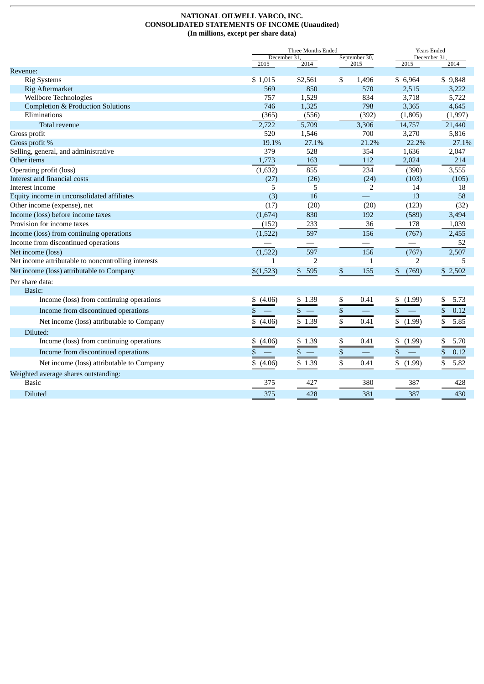#### **NATIONAL OILWELL VARCO, INC. CONSOLIDATED STATEMENTS OF INCOME (Unaudited) (In millions, except per share data)**

|                                                     |                      | Three Months Ended                    |    |                          |                     | <b>Years Ended</b> |  |  |
|-----------------------------------------------------|----------------------|---------------------------------------|----|--------------------------|---------------------|--------------------|--|--|
|                                                     | December 31,<br>2015 | 2014                                  |    | September 30,<br>2015    | December 31<br>2015 | 2014               |  |  |
| Revenue:                                            |                      |                                       |    |                          |                     |                    |  |  |
| <b>Rig Systems</b>                                  | \$1,015              | \$2,561                               | \$ | 1,496                    | \$6,964             | \$9,848            |  |  |
| <b>Rig Aftermarket</b>                              | 569                  | 850                                   |    | 570                      | 2,515               | 3,222              |  |  |
| Wellbore Technologies                               | 757                  | 1,529                                 |    | 834                      | 3,718               | 5,722              |  |  |
| <b>Completion &amp; Production Solutions</b>        | 746                  | 1,325                                 |    | 798                      | 3,365               | 4,645              |  |  |
| Eliminations                                        | (365)                | (556)                                 |    | (392)                    | (1,805)             | (1,997)            |  |  |
| Total revenue                                       | 2,722                | 5,709                                 |    | 3,306                    | 14,757              | 21,440             |  |  |
| Gross profit                                        | 520                  | 1,546                                 |    | 700                      | 3,270               | 5,816              |  |  |
| Gross profit %                                      | 19.1%                | 27.1%                                 |    | 21.2%                    | 22.2%               | 27.1%              |  |  |
| Selling, general, and administrative                | 379                  | 528                                   |    | 354                      | 1,636               | 2,047              |  |  |
| Other items                                         | 1,773                | 163                                   |    | 112                      | 2,024               | 214                |  |  |
| Operating profit (loss)                             | (1,632)              | 855                                   |    | 234                      | (390)               | 3,555              |  |  |
| Interest and financial costs                        | (27)                 | (26)                                  |    | (24)                     | (103)               | (105)              |  |  |
| Interest income                                     | 5                    | 5                                     |    | $\overline{2}$           | 14                  | 18                 |  |  |
| Equity income in unconsolidated affiliates          | (3)                  | 16                                    |    | $\equiv$                 | 13                  | 58                 |  |  |
| Other income (expense), net                         | (17)                 | (20)                                  |    | (20)                     | (123)               | (32)               |  |  |
| Income (loss) before income taxes                   | (1,674)              | 830                                   |    | 192                      | (589)               | 3,494              |  |  |
| Provision for income taxes                          | (152)                | 233                                   |    | 36                       | 178                 | 1,039              |  |  |
| Income (loss) from continuing operations            | (1,522)              | 597                                   |    | 156                      | (767)               | 2,455              |  |  |
| Income from discontinued operations                 |                      | $\overline{\phantom{0}}$              |    |                          |                     | 52                 |  |  |
| Net income (loss)                                   | (1, 522)             | 597                                   |    | 156                      | (767)               | 2,507              |  |  |
| Net income attributable to noncontrolling interests | 1                    | 2                                     |    | $\mathbf{1}$             | 2                   | 5                  |  |  |
| Net income (loss) attributable to Company           | \$(1,523)            | \$ 595                                | \$ | 155                      | (769)<br>\$         | \$2,502            |  |  |
| Per share data:                                     |                      |                                       |    |                          |                     |                    |  |  |
| Basic:                                              |                      |                                       |    |                          |                     |                    |  |  |
| Income (loss) from continuing operations            | (4.06)<br>\$         | \$1.39                                | \$ | 0.41                     | (1.99)<br>\$        | \$<br>5.73         |  |  |
| Income from discontinued operations                 | \$                   | $\overline{\phantom{0}}$<br>\$        | \$ |                          | \$                  | 0.12<br>\$         |  |  |
| Net income (loss) attributable to Company           | \$<br>(4.06)         | \$1.39                                | \$ | 0.41                     | \$<br>(1.99)        | \$<br>5.85         |  |  |
| Diluted:                                            |                      |                                       |    |                          |                     |                    |  |  |
| Income (loss) from continuing operations            | \$<br>(4.06)         | \$1.39                                | \$ | 0.41                     | \$<br>(1.99)        | \$<br>5.70         |  |  |
| Income from discontinued operations                 | \$                   | \$<br>$\hspace{0.1mm}-\hspace{0.1mm}$ | \$ | $\overline{\phantom{0}}$ | \$                  | \$<br>0.12         |  |  |
| Net income (loss) attributable to Company           | \$<br>(4.06)         | \$1.39                                | \$ | 0.41                     | \$<br>(1.99)        | \$<br>5.82         |  |  |
| Weighted average shares outstanding:                |                      |                                       |    |                          |                     |                    |  |  |
| <b>Basic</b>                                        | 375                  | 427                                   |    | 380                      | 387                 | 428                |  |  |
| <b>Diluted</b>                                      | 375                  | 428                                   |    | 381                      | 387                 | 430                |  |  |
|                                                     |                      |                                       |    |                          |                     |                    |  |  |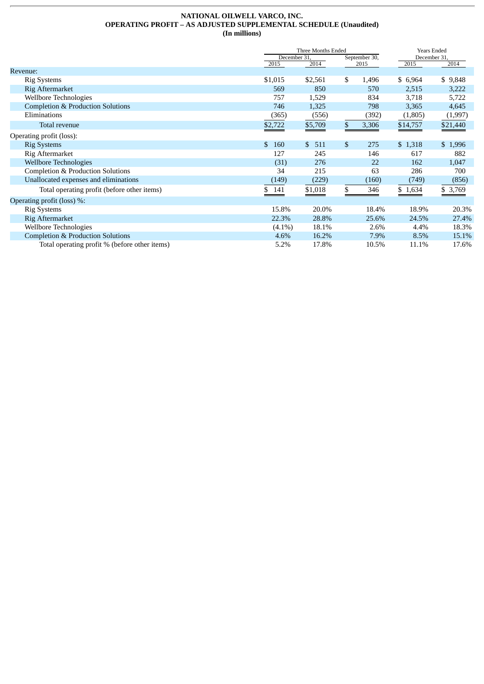#### **NATIONAL OILWELL VARCO, INC. OPERATING PROFIT – AS ADJUSTED SUPPLEMENTAL SCHEDULE (Unaudited) (In millions)**

|                                               | Three Months Ended |           |               |       | <b>Years Ended</b> |          |  |
|-----------------------------------------------|--------------------|-----------|---------------|-------|--------------------|----------|--|
|                                               | December 31        |           | September 30, |       | December 31        |          |  |
|                                               | 2015               | 2014      |               | 2015  | 2015               | 2014     |  |
| Revenue:                                      |                    |           |               |       |                    |          |  |
| <b>Rig Systems</b>                            | \$1,015            | \$2,561   | \$            | 1,496 | \$6,964            | \$9,848  |  |
| Rig Aftermarket                               | 569                | 850       |               | 570   | 2,515              | 3,222    |  |
| Wellbore Technologies                         | 757                | 1,529     |               | 834   | 3,718              | 5,722    |  |
| <b>Completion &amp; Production Solutions</b>  | 746                | 1,325     |               | 798   | 3,365              | 4,645    |  |
| Eliminations                                  | (365)              | (556)     |               | (392) | (1,805)            | (1,997)  |  |
| Total revenue                                 | \$2,722            | \$5,709   | \$            | 3,306 | \$14,757           | \$21,440 |  |
| Operating profit (loss):                      |                    |           |               |       |                    |          |  |
| <b>Rig Systems</b>                            | \$<br>160          | \$<br>511 | $\mathbb{S}$  | 275   | \$1,318            | \$1,996  |  |
| Rig Aftermarket                               | 127                | 245       |               | 146   | 617                | 882      |  |
| <b>Wellbore Technologies</b>                  | (31)               | 276       |               | 22    | 162                | 1,047    |  |
| Completion & Production Solutions             | 34                 | 215       | 63            |       | 286                | 700      |  |
| Unallocated expenses and eliminations         | (149)              | (229)     |               | (160) | (749)              | (856)    |  |
| Total operating profit (before other items)   | 141<br>\$          | \$1,018   | \$            | 346   | \$1,634            | \$ 3,769 |  |
| Operating profit (loss) %:                    |                    |           |               |       |                    |          |  |
| <b>Rig Systems</b>                            | 15.8%              | 20.0%     |               | 18.4% | 18.9%              | 20.3%    |  |
| Rig Aftermarket                               | 22.3%              | 28.8%     |               | 25.6% | 24.5%              | 27.4%    |  |
| Wellbore Technologies                         | $(4.1\%)$          | 18.1%     |               | 2.6%  | 4.4%               | 18.3%    |  |
| <b>Completion &amp; Production Solutions</b>  | 4.6%               | 16.2%     |               | 7.9%  | 8.5%               | 15.1%    |  |
| Total operating profit % (before other items) | 5.2%               | 17.8%     |               | 10.5% | 11.1%              | 17.6%    |  |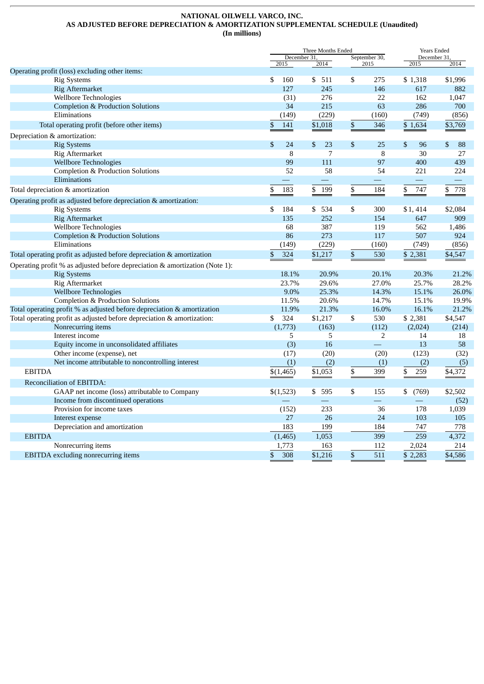#### **NATIONAL OILWELL VARCO, INC. AS ADJUSTED BEFORE DEPRECIATION & AMORTIZATION SUPPLEMENTAL SCHEDULE (Unaudited) (In millions)**

|                                                                             |                      | Three Months Ended |    | <b>Years Ended</b>       |                      |           |
|-----------------------------------------------------------------------------|----------------------|--------------------|----|--------------------------|----------------------|-----------|
|                                                                             | December 31.<br>2015 | 2014               |    | September 30,<br>2015    | December 31.<br>2015 | 2014      |
| Operating profit (loss) excluding other items:                              |                      |                    |    |                          |                      |           |
| <b>Rig Systems</b>                                                          | \$<br>160            | \$<br>511          | \$ | 275                      | \$1,318              | \$1,996   |
| <b>Rig Aftermarket</b>                                                      | 127                  | 245                |    | 146                      | 617                  | 882       |
| Wellbore Technologies                                                       | (31)                 | 276                |    | 22                       | 162                  | 1,047     |
| <b>Completion &amp; Production Solutions</b>                                | 34                   | 215                |    | 63                       | 286                  | 700       |
| Eliminations                                                                | (149)                | (229)              |    | (160)                    | (749)                | (856)     |
| Total operating profit (before other items)                                 | \$<br>141            | \$1,018            | \$ | 346                      | \$1,634              | \$3,769   |
| Depreciation & amortization:                                                |                      |                    |    |                          |                      |           |
| <b>Rig Systems</b>                                                          | $\mathbf{\$}$<br>24  | \$<br>23           | \$ | 25                       | \$<br>96             | \$<br>88  |
| <b>Rig Aftermarket</b>                                                      | 8                    | 7                  |    | 8                        | 30                   | 27        |
| <b>Wellbore Technologies</b>                                                | 99                   | 111                |    | 97                       | 400                  | 439       |
| <b>Completion &amp; Production Solutions</b>                                | 52                   | 58                 |    | 54                       | 221                  | 224       |
| Eliminations                                                                |                      |                    |    |                          |                      |           |
| Total depreciation & amortization                                           | 183<br>\$            | 199<br>\$          | \$ | 184                      | 747<br>\$            | 778<br>\$ |
| Operating profit as adjusted before depreciation & amortization:            |                      |                    |    |                          |                      |           |
| <b>Rig Systems</b>                                                          | \$<br>184            | 534<br>\$          | \$ | 300                      | \$1,414              | \$2,084   |
| <b>Rig Aftermarket</b>                                                      | 135                  | 252                |    | 154                      | 647                  | 909       |
| <b>Wellbore Technologies</b>                                                | 68                   | 387                |    | 119                      | 562                  | 1,486     |
| <b>Completion &amp; Production Solutions</b>                                | 86                   | 273                |    | 117                      | 507                  | 924       |
| Eliminations                                                                | (149)                | (229)              |    | (160)                    | (749)                | (856)     |
| Total operating profit as adjusted before depreciation & amortization       | \$<br>324            | \$1,217            | \$ | 530                      | \$ 2,381             | \$4,547   |
| Operating profit % as adjusted before depreciation & amortization (Note 1): |                      |                    |    |                          |                      |           |
| <b>Rig Systems</b>                                                          | 18.1%                | 20.9%              |    | 20.1%                    | 20.3%                | 21.2%     |
| <b>Rig Aftermarket</b>                                                      | 23.7%                | 29.6%              |    | 27.0%                    | 25.7%                | 28.2%     |
| <b>Wellbore Technologies</b>                                                | 9.0%                 | 25.3%              |    | 14.3%                    | 15.1%                | 26.0%     |
| Completion & Production Solutions                                           | 11.5%                | 20.6%              |    | 14.7%                    | 15.1%                | 19.9%     |
| Total operating profit % as adjusted before depreciation & amortization     | 11.9%                | 21.3%              |    | 16.0%                    | 16.1%                | 21.2%     |
| Total operating profit as adjusted before depreciation & amortization:      | \$<br>324            | \$1,217            | \$ | 530                      | \$ 2,381             | \$4,547   |
| Nonrecurring items                                                          | (1,773)              | (163)              |    | (112)                    | (2,024)              | (214)     |
| Interest income                                                             | 5                    | 5                  |    | $\overline{2}$           | 14                   | 18        |
| Equity income in unconsolidated affiliates                                  | (3)                  | 16                 |    | $\overline{\phantom{0}}$ | 13                   | 58        |
| Other income (expense), net                                                 | (17)                 | (20)               |    | (20)                     | (123)                | (32)      |
| Net income attributable to noncontrolling interest                          | (1)                  | (2)                |    | (1)                      | (2)                  | (5)       |
| <b>EBITDA</b>                                                               | \$(1,465)            | \$1,053            | \$ | 399                      | \$<br>259            | \$4,372   |
| Reconciliation of EBITDA:                                                   |                      |                    |    |                          |                      |           |
| GAAP net income (loss) attributable to Company                              | \$(1,523)            | 595<br>\$          | \$ | 155                      | \$<br>(769)          | \$2,502   |
| Income from discontinued operations                                         |                      | $\equiv$           |    | 二                        |                      | (52)      |
| Provision for income taxes                                                  | (152)                | 233                |    | 36                       | 178                  | 1,039     |
| Interest expense                                                            | 27                   | 26                 |    | 24                       | 103                  | 105       |
| Depreciation and amortization                                               | 183                  | 199                |    | 184                      | 747                  | 778       |
| <b>EBITDA</b>                                                               | (1, 465)             | 1,053              |    | 399                      | 259                  | 4,372     |
| Nonrecurring items                                                          | 1,773                | 163                |    | 112                      | 2,024                | 214       |
| EBITDA excluding nonrecurring items                                         | 308<br>\$            | \$1,216            | \$ | 511                      | \$2,283              | \$4,586   |